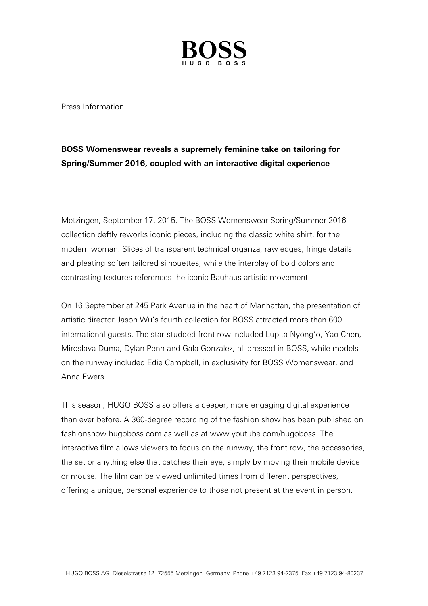

Press Information

## **BOSS Womenswear reveals a supremely feminine take on tailoring for Spring/Summer 2016, coupled with an interactive digital experience**

Metzingen, September 17, 2015. The BOSS Womenswear Spring/Summer 2016 collection deftly reworks iconic pieces, including the classic white shirt, for the modern woman. Slices of transparent technical organza, raw edges, fringe details and pleating soften tailored silhouettes, while the interplay of bold colors and contrasting textures references the iconic Bauhaus artistic movement.

On 16 September at 245 Park Avenue in the heart of Manhattan, the presentation of artistic director Jason Wu's fourth collection for BOSS attracted more than 600 international guests. The star-studded front row included Lupita Nyong'o, Yao Chen, Miroslava Duma, Dylan Penn and Gala Gonzalez, all dressed in BOSS, while models on the runway included Edie Campbell, in exclusivity for BOSS Womenswear, and Anna Ewers.

This season, HUGO BOSS also offers a deeper, more engaging digital experience than ever before. A 360-degree recording of the fashion show has been published on fashionshow.hugoboss.com as well as at www.youtube.com/hugoboss. The interactive film allows viewers to focus on the runway, the front row, the accessories, the set or anything else that catches their eye, simply by moving their mobile device or mouse. The film can be viewed unlimited times from different perspectives, offering a unique, personal experience to those not present at the event in person.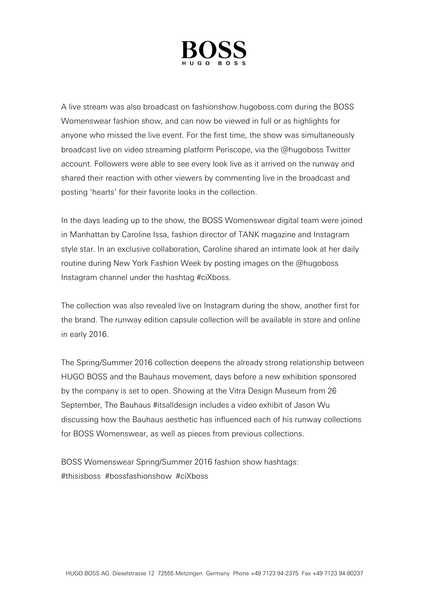

A live stream was also broadcast on fashionshow.hugoboss.com during the BOSS Womenswear fashion show, and can now be viewed in full or as highlights for anyone who missed the live event. For the first time, the show was simultaneously broadcast live on video streaming platform Periscope, via the @hugoboss Twitter account. Followers were able to see every look live as it arrived on the runway and shared their reaction with other viewers by commenting live in the broadcast and posting 'hearts' for their favorite looks in the collection.

In the days leading up to the show, the BOSS Womenswear digital team were joined in Manhattan by Caroline Issa, fashion director of TANK magazine and Instagram style star. In an exclusive collaboration, Caroline shared an intimate look at her daily routine during New York Fashion Week by posting images on the @hugoboss Instagram channel under the hashtag #ciXboss.

The collection was also revealed live on Instagram during the show, another first for the brand. The runway edition capsule collection will be available in store and online in early 2016.

The Spring/Summer 2016 collection deepens the already strong relationship between HUGO BOSS and the Bauhaus movement, days before a new exhibition sponsored by the company is set to open. Showing at the Vitra Design Museum from 26 September, The Bauhaus #itsalldesign includes a video exhibit of Jason Wu discussing how the Bauhaus aesthetic has influenced each of his runway collections for BOSS Womenswear, as well as pieces from previous collections.

BOSS Womenswear Spring/Summer 2016 fashion show hashtags: #thisisboss #bossfashionshow #ciXboss